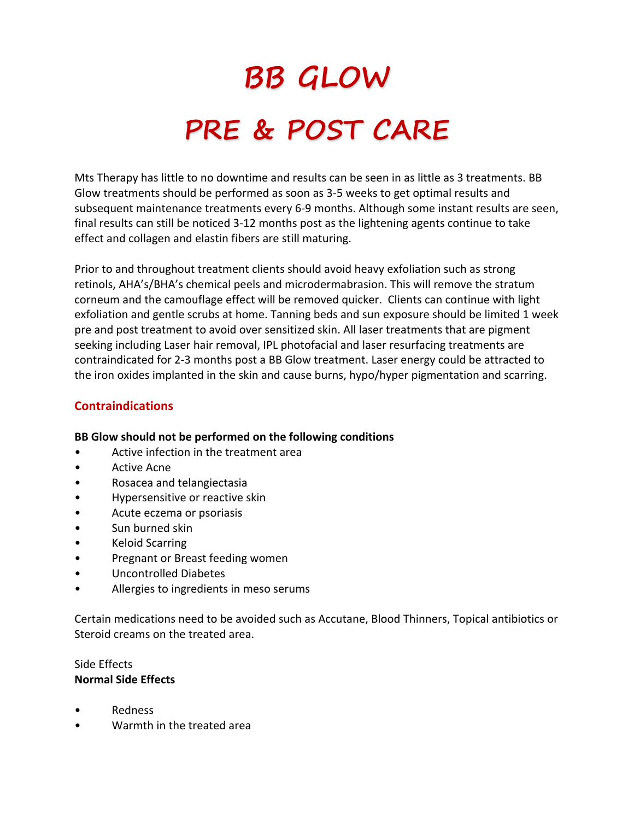# **BB GLOW PRE & POST CARE**

Mts Therapy has little to no downtime and results can be seen in as little as 3 treatments. BB Glow treatments should be performed as soon as 3-5 weeks to get optimal results and subsequent maintenance treatments every 6-9 months. Although some instant results are seen, final results can still be noticed 3-12 months post as the lightening agents continue to take effect and collagen and elastin fibers are still maturing.

Prior to and throughout treatment clients should avoid heavy exfoliation such as strong retinols, AHA's/BHA's chemical peels and microdermabrasion. This will remove the stratum corneum and the camouflage effect will be removed quicker. Clients can continue with light exfoliation and gentle scrubs at home. Tanning beds and sun exposure should be limited 1 week pre and post treatment to avoid over sensitized skin. All laser treatments that are pigment seeking including Laser hair removal, IPL photofacial and laser resurfacing treatments are contraindicated for 2-3 months post a BB Glow treatment. Laser energy could be attracted to the iron oxides implanted in the skin and cause burns, hypo/hyper pigmentation and scarring.

## **Contraindications**

### **BB Glow should not be performed on the following conditions**

- Active infection in the treatment area
- Active Acne
- Rosacea and telangiectasia
- Hypersensitive or reactive skin
- Acute eczema or psoriasis
- Sun burned skin
- Keloid Scarring
- Pregnant or Breast feeding women
- Uncontrolled Diabetes
- Allergies to ingredients in meso serums

Certain medications need to be avoided such as Accutane, Blood Thinners, Topical antibiotics or Steroid creams on the treated area.

## Side Effects **Normal Side Effects**

- Redness
- Warmth in the treated area